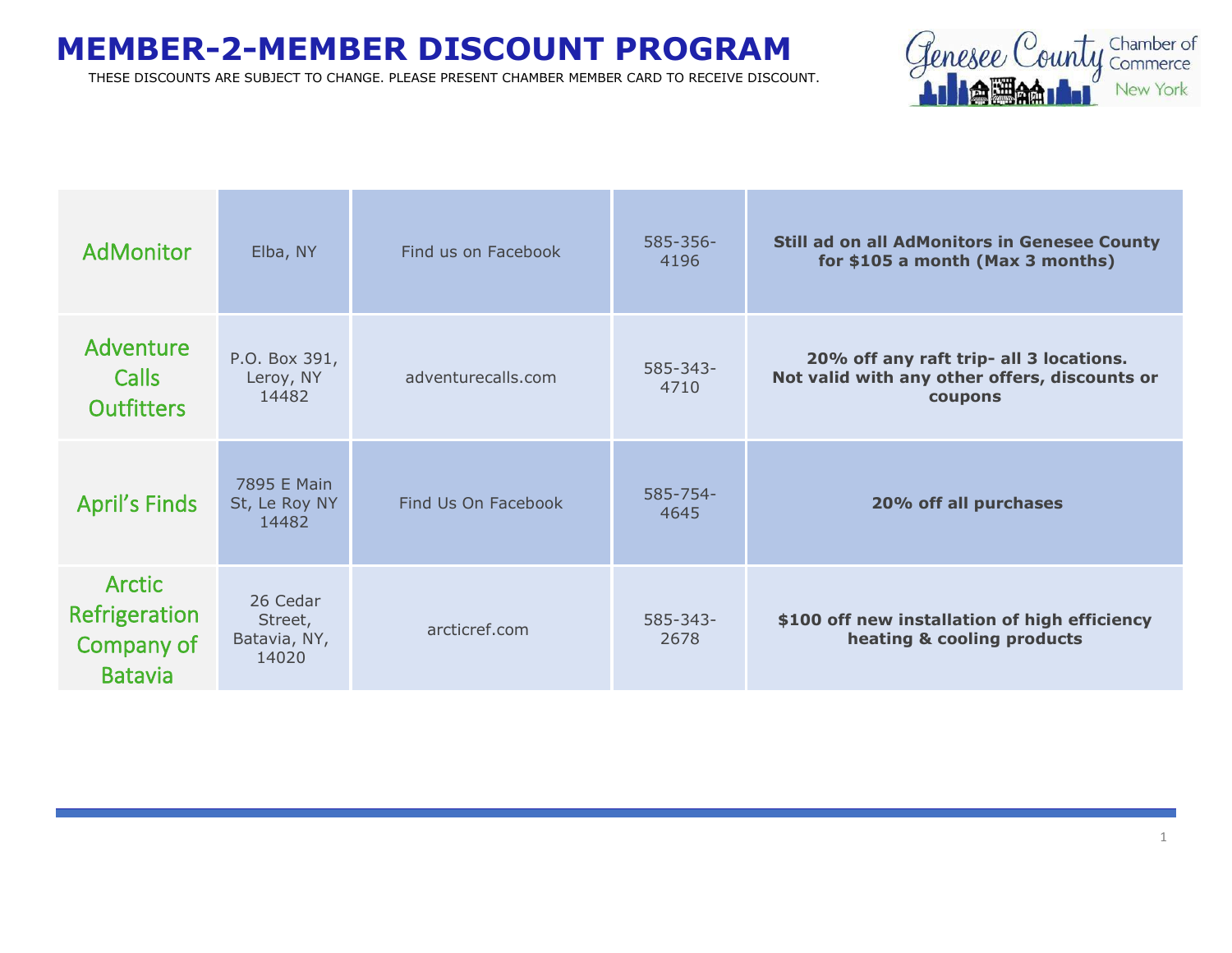

| <b>AdMonitor</b>                                               | Elba, NY                                     | Find us on Facebook | $585 - 356 -$<br>4196 | <b>Still ad on all AdMonitors in Genesee County</b><br>for \$105 a month (Max 3 months)             |
|----------------------------------------------------------------|----------------------------------------------|---------------------|-----------------------|-----------------------------------------------------------------------------------------------------|
| Adventure<br><b>Calls</b><br><b>Outfitters</b>                 | P.O. Box 391,<br>Leroy, NY<br>14482          | adventurecalls.com  | 585-343-<br>4710      | 20% off any raft trip- all 3 locations.<br>Not valid with any other offers, discounts or<br>coupons |
| <b>April's Finds</b>                                           | 7895 E Main<br>St, Le Roy NY<br>14482        | Find Us On Facebook | $585 - 754 -$<br>4645 | 20% off all purchases                                                                               |
| <b>Arctic</b><br>Refrigeration<br>Company of<br><b>Batavia</b> | 26 Cedar<br>Street,<br>Batavia, NY,<br>14020 | arcticref.com       | $585 - 343 -$<br>2678 | \$100 off new installation of high efficiency<br>heating & cooling products                         |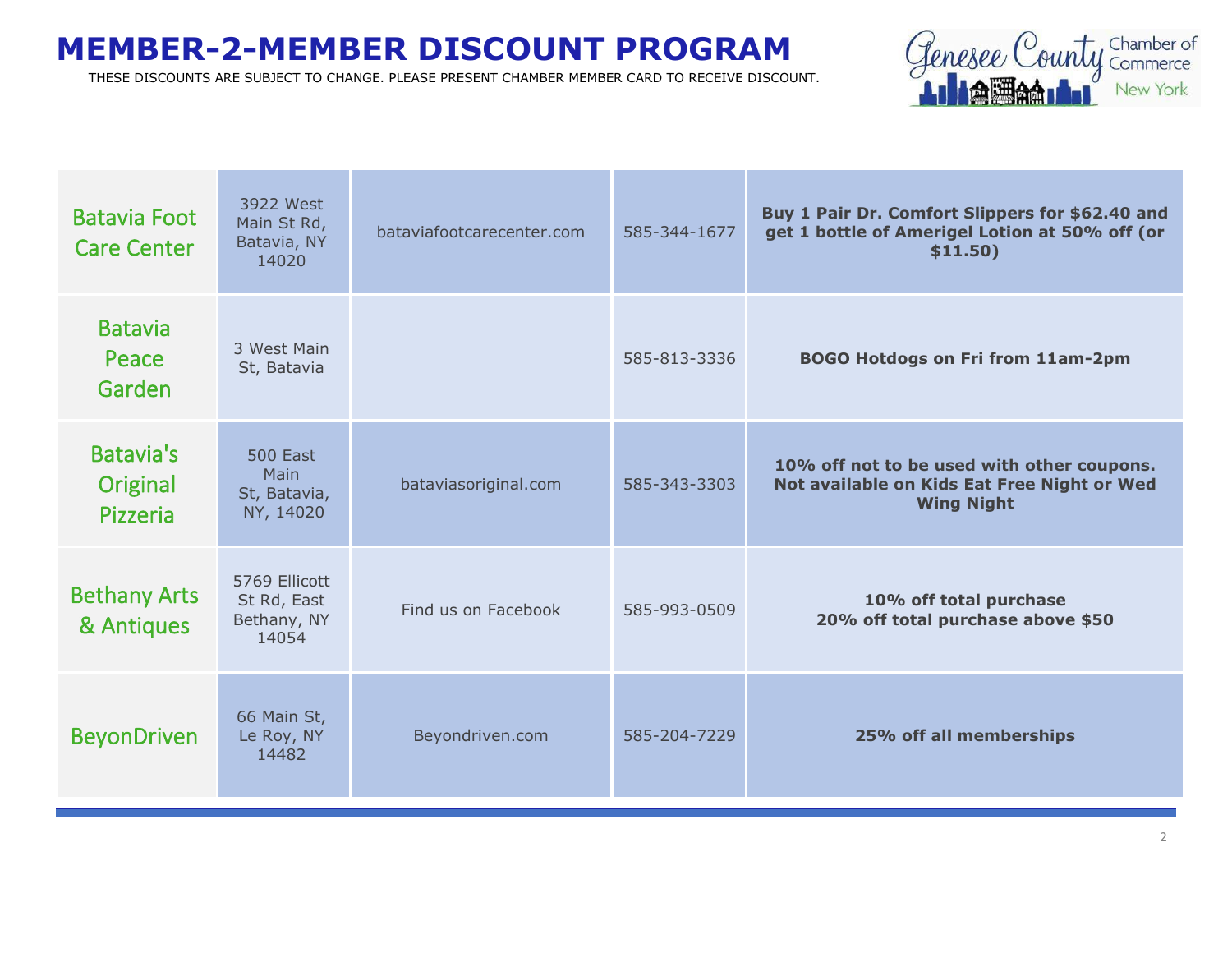

| <b>Batavia Foot</b><br><b>Care Center</b> | 3922 West<br>Main St Rd,<br>Batavia, NY<br>14020     | bataviafootcarecenter.com | 585-344-1677 | Buy 1 Pair Dr. Comfort Slippers for \$62.40 and<br>get 1 bottle of Amerigel Lotion at 50% off (or<br>\$11.50)  |
|-------------------------------------------|------------------------------------------------------|---------------------------|--------------|----------------------------------------------------------------------------------------------------------------|
| <b>Batavia</b><br>Peace<br>Garden         | 3 West Main<br>St, Batavia                           |                           | 585-813-3336 | <b>BOGO Hotdogs on Fri from 11am-2pm</b>                                                                       |
| <b>Batavia's</b><br>Original<br>Pizzeria  | <b>500 East</b><br>Main<br>St, Batavia,<br>NY, 14020 | bataviasoriginal.com      | 585-343-3303 | 10% off not to be used with other coupons.<br>Not available on Kids Eat Free Night or Wed<br><b>Wing Night</b> |
| <b>Bethany Arts</b><br>& Antiques         | 5769 Ellicott<br>St Rd, East<br>Bethany, NY<br>14054 | Find us on Facebook       | 585-993-0509 | 10% off total purchase<br>20% off total purchase above \$50                                                    |
| <b>BeyonDriven</b>                        | 66 Main St,<br>Le Roy, NY<br>14482                   | Beyondriven.com           | 585-204-7229 | 25% off all memberships                                                                                        |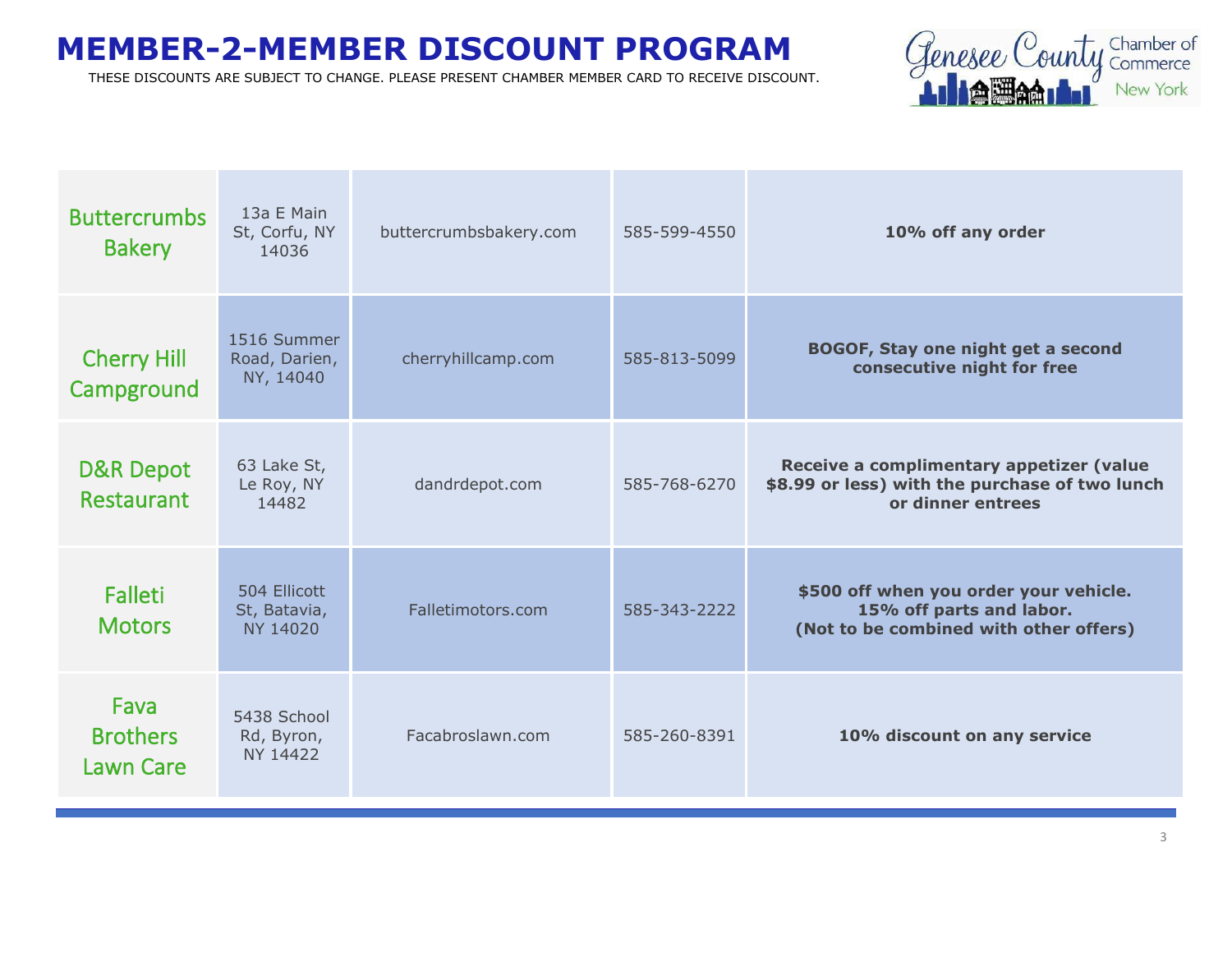

| <b>Buttercrumbs</b><br><b>Bakery</b>        | 13a E Main<br>St, Corfu, NY<br>14036      | buttercrumbsbakery.com | 585-599-4550 | 10% off any order                                                                                               |
|---------------------------------------------|-------------------------------------------|------------------------|--------------|-----------------------------------------------------------------------------------------------------------------|
| <b>Cherry Hill</b><br>Campground            | 1516 Summer<br>Road, Darien,<br>NY, 14040 | cherryhillcamp.com     | 585-813-5099 | <b>BOGOF, Stay one night get a second</b><br>consecutive night for free                                         |
| <b>D&amp;R Depot</b><br>Restaurant          | 63 Lake St,<br>Le Roy, NY<br>14482        | dandrdepot.com         | 585-768-6270 | Receive a complimentary appetizer (value<br>\$8.99 or less) with the purchase of two lunch<br>or dinner entrees |
| Falleti<br><b>Motors</b>                    | 504 Ellicott<br>St, Batavia,<br>NY 14020  | Falletimotors.com      | 585-343-2222 | \$500 off when you order your vehicle.<br>15% off parts and labor.<br>(Not to be combined with other offers)    |
| Fava<br><b>Brothers</b><br><b>Lawn Care</b> | 5438 School<br>Rd, Byron,<br>NY 14422     | Facabroslawn.com       | 585-260-8391 | 10% discount on any service                                                                                     |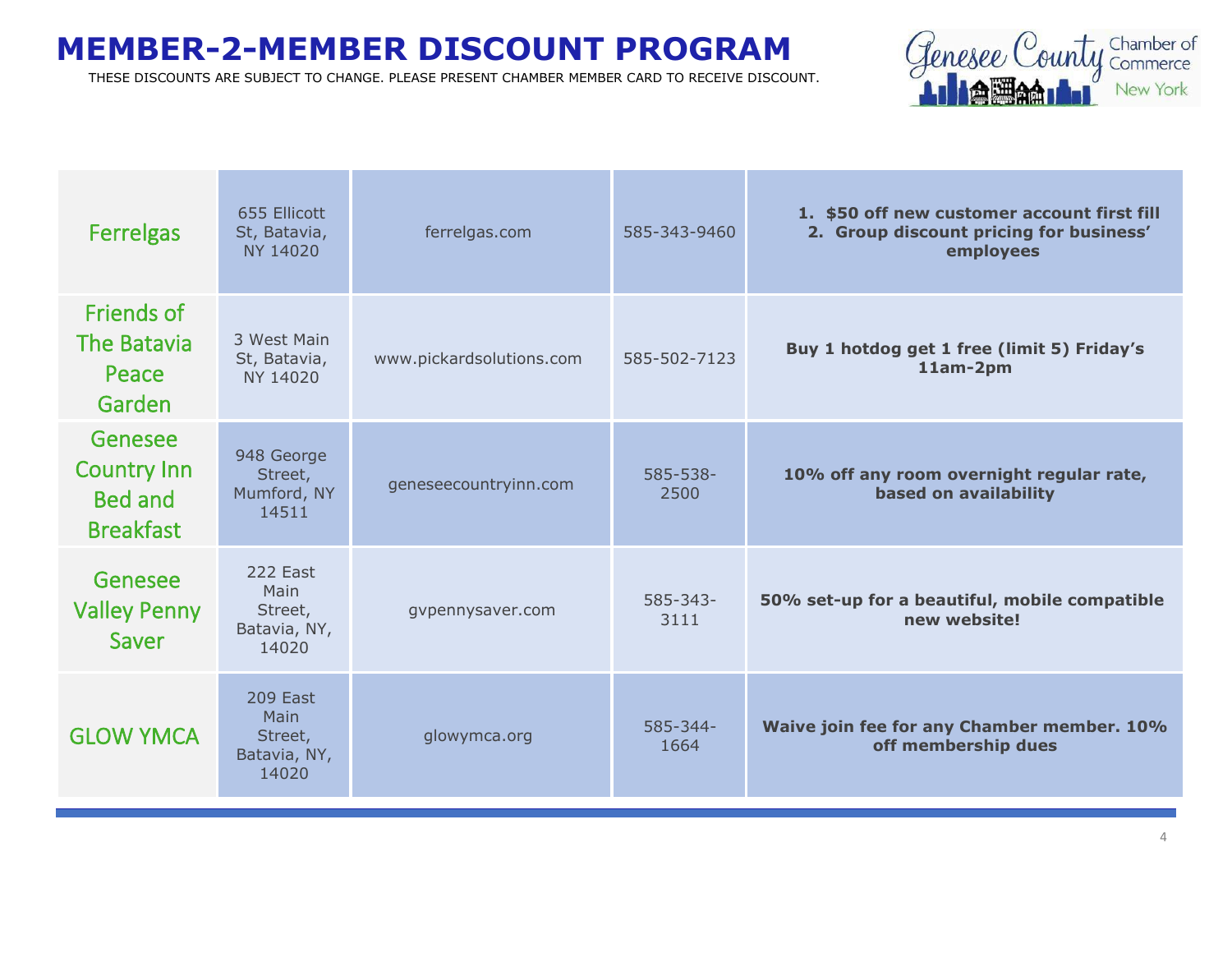

| <b>Ferrelgas</b>                                             | 655 Ellicott<br>St, Batavia,<br>NY 14020             | ferrelgas.com            | 585-343-9460          | 1. \$50 off new customer account first fill<br>2. Group discount pricing for business'<br>employees |
|--------------------------------------------------------------|------------------------------------------------------|--------------------------|-----------------------|-----------------------------------------------------------------------------------------------------|
| Friends of<br>The Batavia<br>Peace<br>Garden                 | 3 West Main<br>St, Batavia,<br>NY 14020              | www.pickardsolutions.com | 585-502-7123          | Buy 1 hotdog get 1 free (limit 5) Friday's<br>11am-2pm                                              |
| Genesee<br><b>Country Inn</b><br>Bed and<br><b>Breakfast</b> | 948 George<br>Street,<br>Mumford, NY<br>14511        | geneseecountryinn.com    | 585-538-<br>2500      | 10% off any room overnight regular rate,<br>based on availability                                   |
| Genesee<br><b>Valley Penny</b><br>Saver                      | 222 Fast<br>Main<br>Street,<br>Batavia, NY,<br>14020 | gvpennysaver.com         | $585 - 343 -$<br>3111 | 50% set-up for a beautiful, mobile compatible<br>new website!                                       |
| <b>GLOW YMCA</b>                                             | 209 East<br>Main<br>Street,<br>Batavia, NY,<br>14020 | glowymca.org             | $585 - 344 -$<br>1664 | Waive join fee for any Chamber member. 10%<br>off membership dues                                   |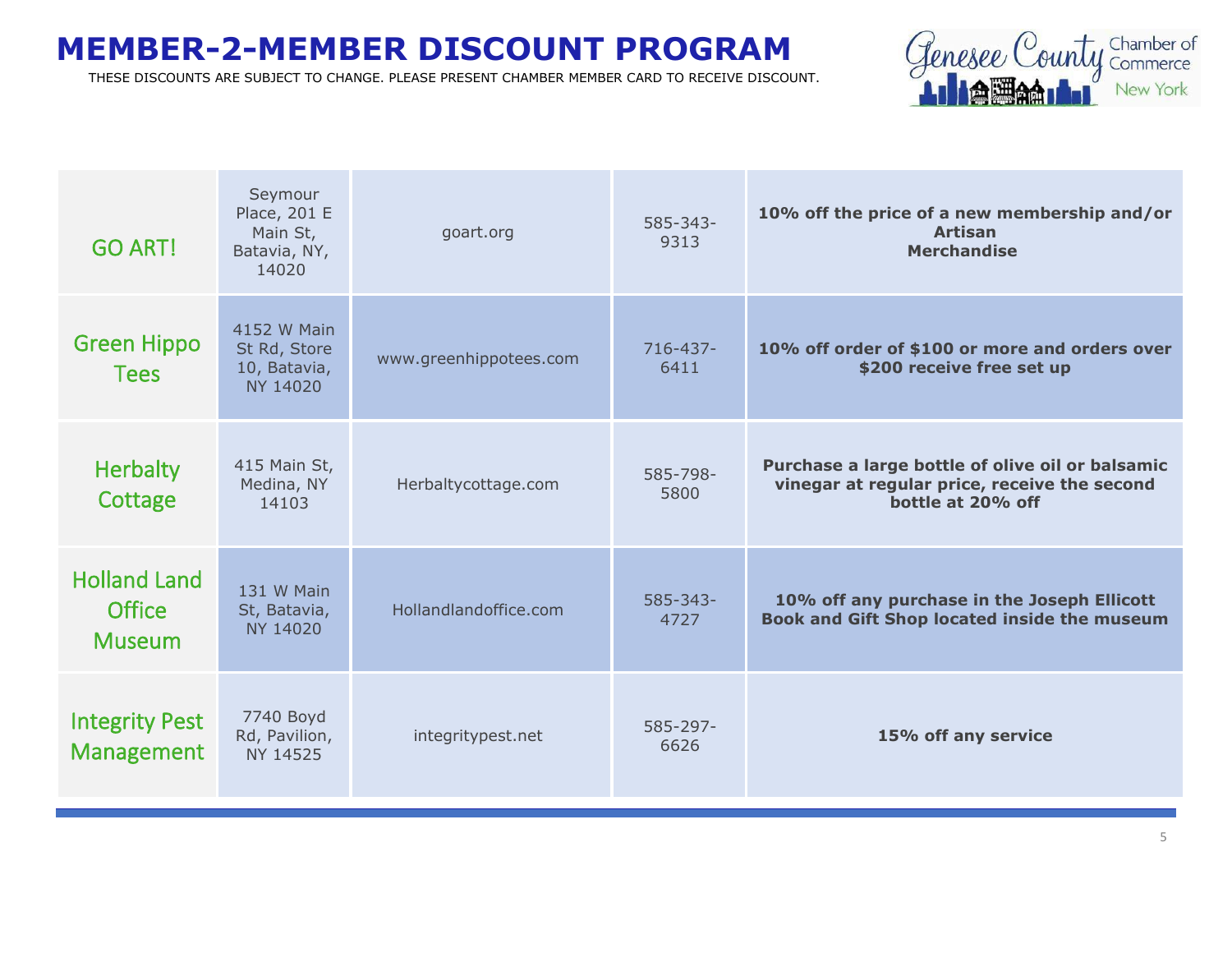

| <b>GO ART!</b>                                        | Seymour<br>Place, 201 E<br>Main St,<br>Batavia, NY,<br>14020 | goart.org              | $585 - 343 -$<br>9313 | 10% off the price of a new membership and/or<br><b>Artisan</b><br><b>Merchandise</b>                                  |
|-------------------------------------------------------|--------------------------------------------------------------|------------------------|-----------------------|-----------------------------------------------------------------------------------------------------------------------|
| <b>Green Hippo</b><br><b>Tees</b>                     | 4152 W Main<br>St Rd, Store<br>10, Batavia,<br>NY 14020      | www.greenhippotees.com | $716 - 437 -$<br>6411 | 10% off order of \$100 or more and orders over<br>\$200 receive free set up                                           |
| <b>Herbalty</b><br>Cottage                            | 415 Main St,<br>Medina, NY<br>14103                          | Herbaltycottage.com    | 585-798-<br>5800      | Purchase a large bottle of olive oil or balsamic<br>vinegar at regular price, receive the second<br>bottle at 20% off |
| <b>Holland Land</b><br><b>Office</b><br><b>Museum</b> | 131 W Main<br>St, Batavia,<br>NY 14020                       | Hollandlandoffice.com  | $585 - 343 -$<br>4727 | 10% off any purchase in the Joseph Ellicott<br><b>Book and Gift Shop located inside the museum</b>                    |
| <b>Integrity Pest</b><br><b>Management</b>            | 7740 Boyd<br>Rd, Pavilion,<br>NY 14525                       | integritypest.net      | 585-297-<br>6626      | 15% off any service                                                                                                   |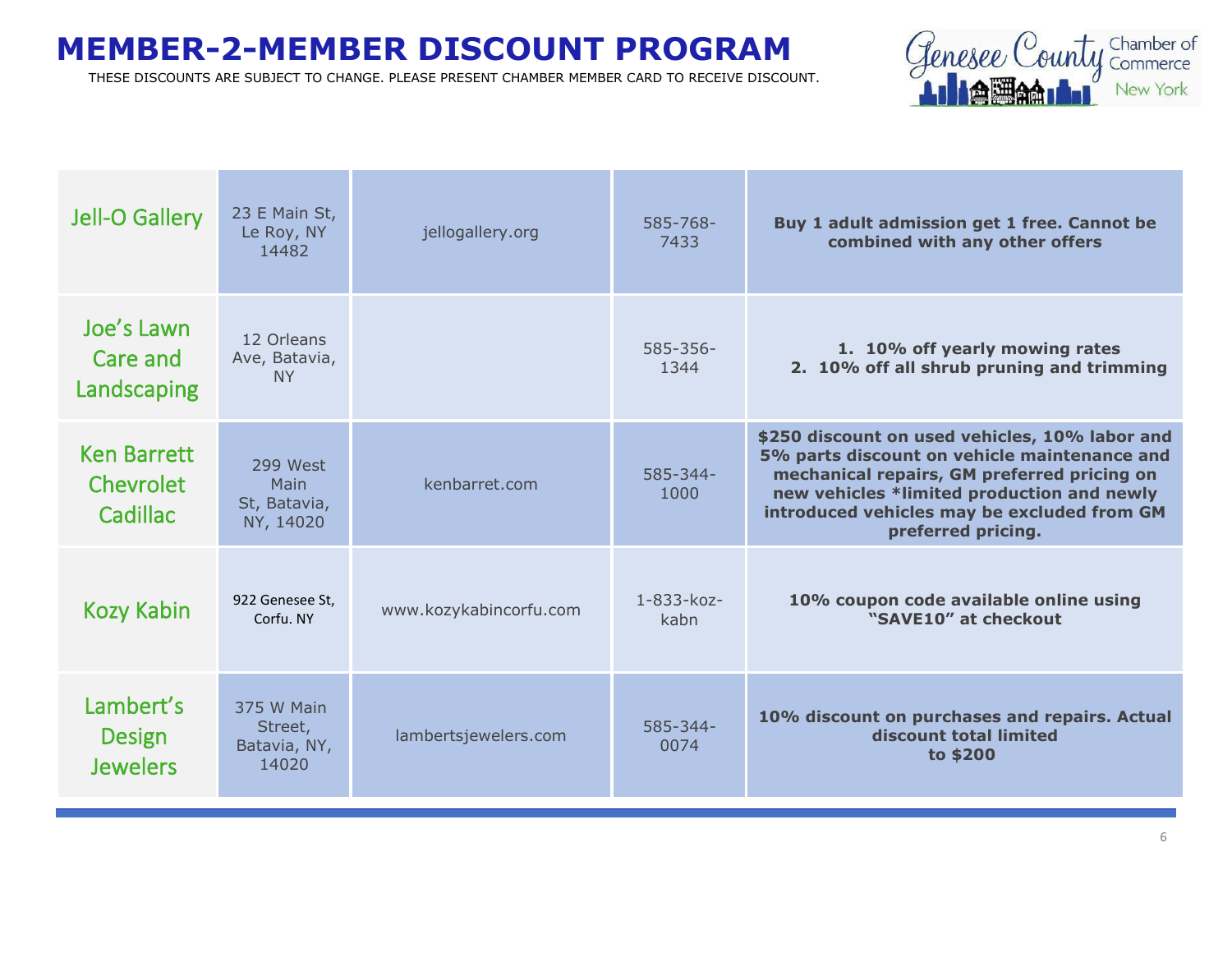

| Jell-O Gallery                                | 23 E Main St,<br>Le Roy, NY<br>14482           | jellogallery.org       | 585-768-<br>7433      | Buy 1 adult admission get 1 free. Cannot be<br>combined with any other offers                                                                                                                                                                                    |
|-----------------------------------------------|------------------------------------------------|------------------------|-----------------------|------------------------------------------------------------------------------------------------------------------------------------------------------------------------------------------------------------------------------------------------------------------|
| Joe's Lawn<br>Care and<br>Landscaping         | 12 Orleans<br>Ave, Batavia,<br><b>NY</b>       |                        | $585 - 356 -$<br>1344 | 1. 10% off yearly mowing rates<br>2. 10% off all shrub pruning and trimming                                                                                                                                                                                      |
| <b>Ken Barrett</b><br>Chevrolet<br>Cadillac   | 299 West<br>Main<br>St, Batavia,<br>NY, 14020  | kenbarret.com          | $585 - 344 -$<br>1000 | \$250 discount on used vehicles, 10% labor and<br>5% parts discount on vehicle maintenance and<br>mechanical repairs, GM preferred pricing on<br>new vehicles *limited production and newly<br>introduced vehicles may be excluded from GM<br>preferred pricing. |
| <b>Kozy Kabin</b>                             | 922 Genesee St.<br>Corfu, NY                   | www.kozykabincorfu.com | 1-833-koz-<br>kabn    | 10% coupon code available online using<br>"SAVE10" at checkout                                                                                                                                                                                                   |
| Lambert's<br><b>Design</b><br><b>Jewelers</b> | 375 W Main<br>Street,<br>Batavia, NY,<br>14020 | lambertsjewelers.com   | $585 - 344 -$<br>0074 | 10% discount on purchases and repairs. Actual<br>discount total limited<br>to \$200                                                                                                                                                                              |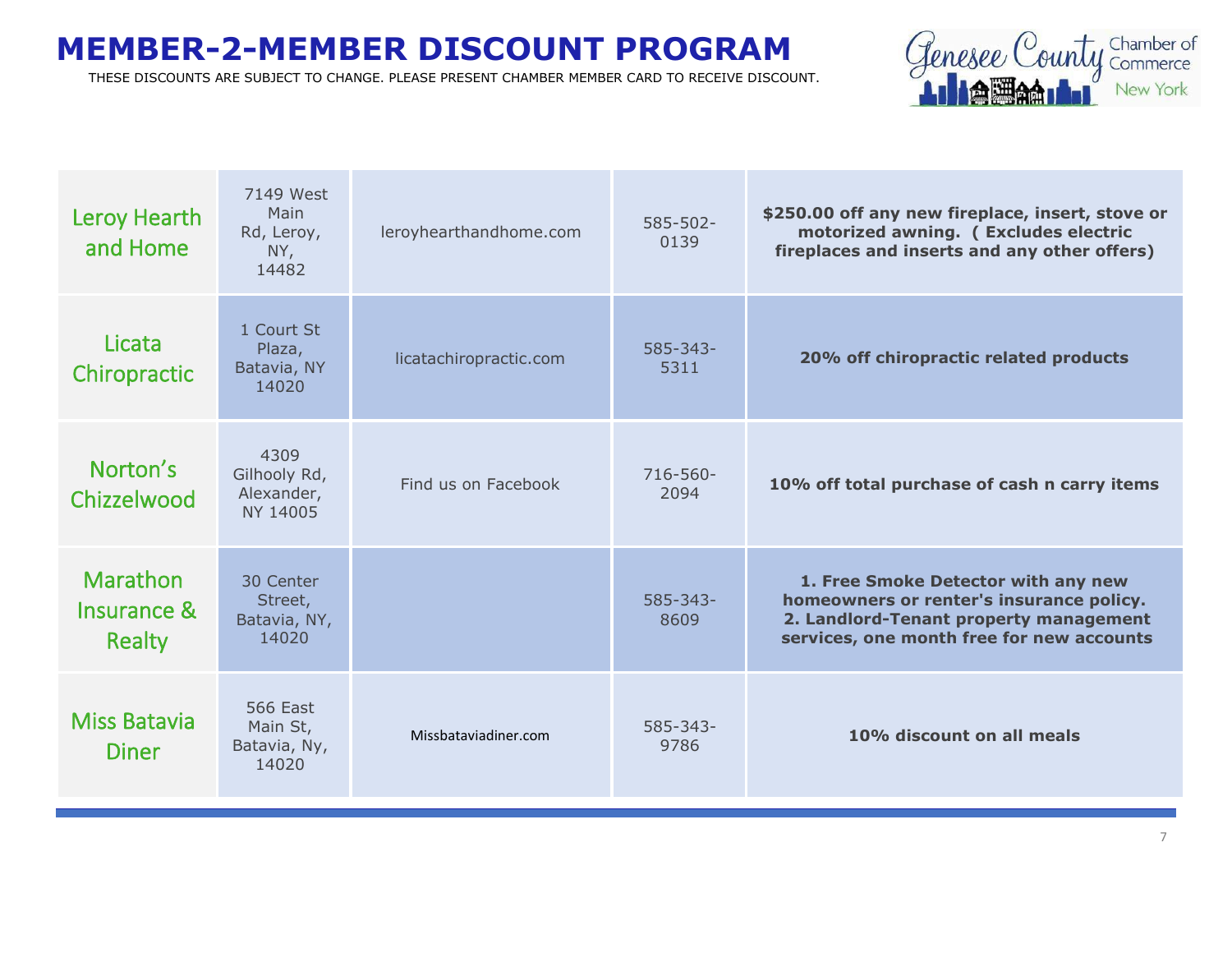

| Leroy Hearth<br>and Home                 | 7149 West<br>Main<br>Rd, Leroy,<br>NY,<br>14482      | leroyhearthandhome.com | 585-502-<br>0139      | \$250.00 off any new fireplace, insert, stove or<br>motorized awning. ( Excludes electric<br>fireplaces and inserts and any other offers)                              |
|------------------------------------------|------------------------------------------------------|------------------------|-----------------------|------------------------------------------------------------------------------------------------------------------------------------------------------------------------|
| Licata<br>Chiropractic                   | 1 Court St<br>Plaza,<br>Batavia, NY<br>14020         | licatachiropractic.com | $585 - 343 -$<br>5311 | 20% off chiropractic related products                                                                                                                                  |
| Norton's<br>Chizzelwood                  | 4309<br>Gilhooly Rd,<br>Alexander,<br>NY 14005       | Find us on Facebook    | 716-560-<br>2094      | 10% off total purchase of cash n carry items                                                                                                                           |
| <b>Marathon</b><br>Insurance &<br>Realty | 30 Center<br>Street,<br>Batavia, NY,<br>14020        |                        | $585 - 343 -$<br>8609 | 1. Free Smoke Detector with any new<br>homeowners or renter's insurance policy.<br>2. Landlord-Tenant property management<br>services, one month free for new accounts |
| <b>Miss Batavia</b><br><b>Diner</b>      | <b>566 East</b><br>Main St,<br>Batavia, Ny,<br>14020 | Missbataviadiner.com   | $585 - 343 -$<br>9786 | 10% discount on all meals                                                                                                                                              |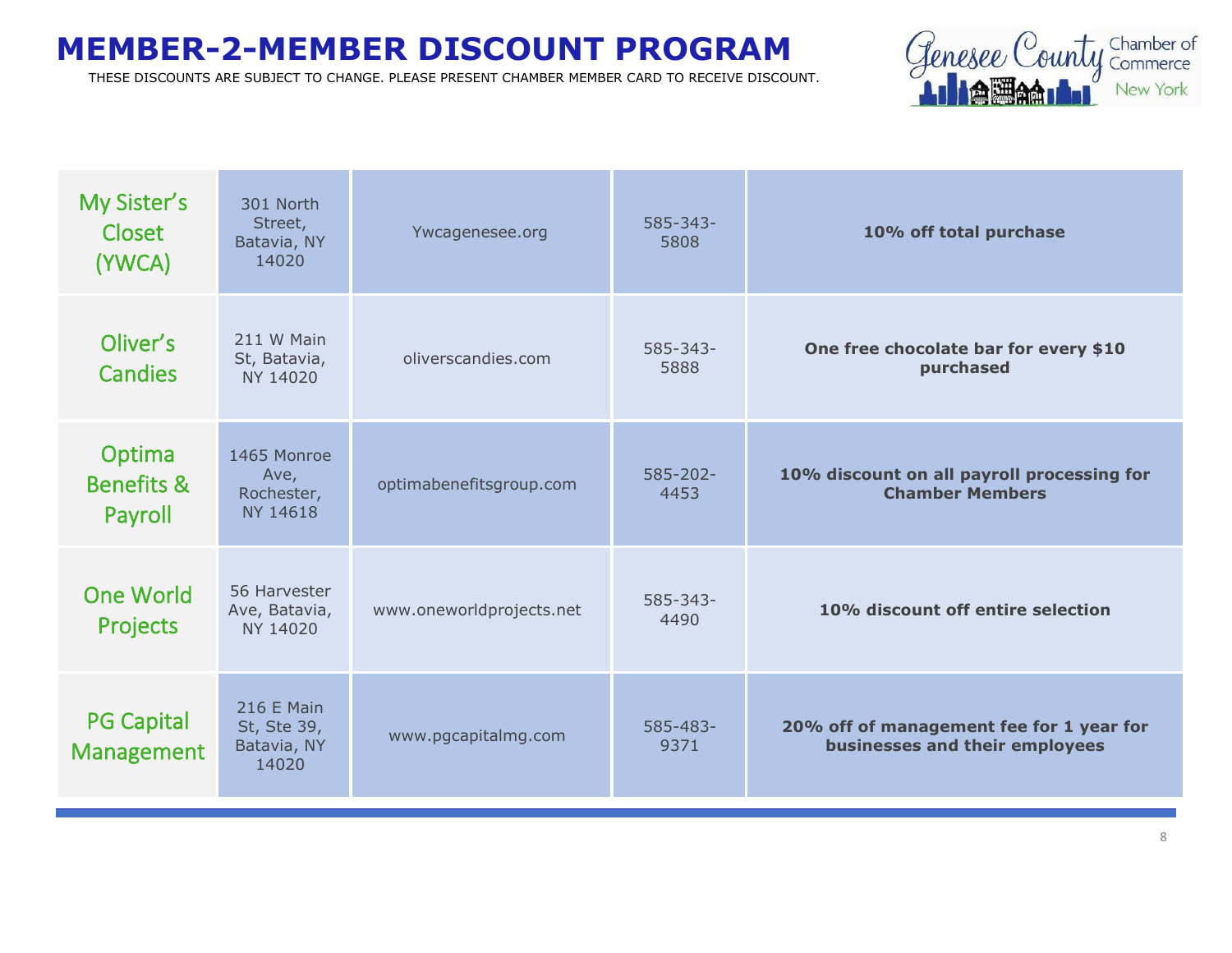

| My Sister's<br>Closet<br>(YWCA)            | 301 North<br>Street,<br>Batavia, NY<br>14020      | Ywcagenesee.org          | $585 - 343 -$<br>5808 | 10% off total purchase                                                     |
|--------------------------------------------|---------------------------------------------------|--------------------------|-----------------------|----------------------------------------------------------------------------|
| Oliver's<br><b>Candies</b>                 | 211 W Main<br>St, Batavia,<br>NY 14020            | oliverscandies.com       | $585 - 343 -$<br>5888 | One free chocolate bar for every \$10<br>purchased                         |
| Optima<br><b>Benefits &amp;</b><br>Payroll | 1465 Monroe<br>Ave,<br>Rochester,<br>NY 14618     | optimabenefitsgroup.com  | $585 - 202 -$<br>4453 | 10% discount on all payroll processing for<br><b>Chamber Members</b>       |
| <b>One World</b><br>Projects               | 56 Harvester<br>Ave, Batavia,<br>NY 14020         | www.oneworldprojects.net | $585 - 343 -$<br>4490 | 10% discount off entire selection                                          |
| <b>PG Capital</b><br><b>Management</b>     | 216 E Main<br>St, Ste 39,<br>Batavia, NY<br>14020 | www.pgcapitalmg.com      | 585-483-<br>9371      | 20% off of management fee for 1 year for<br>businesses and their employees |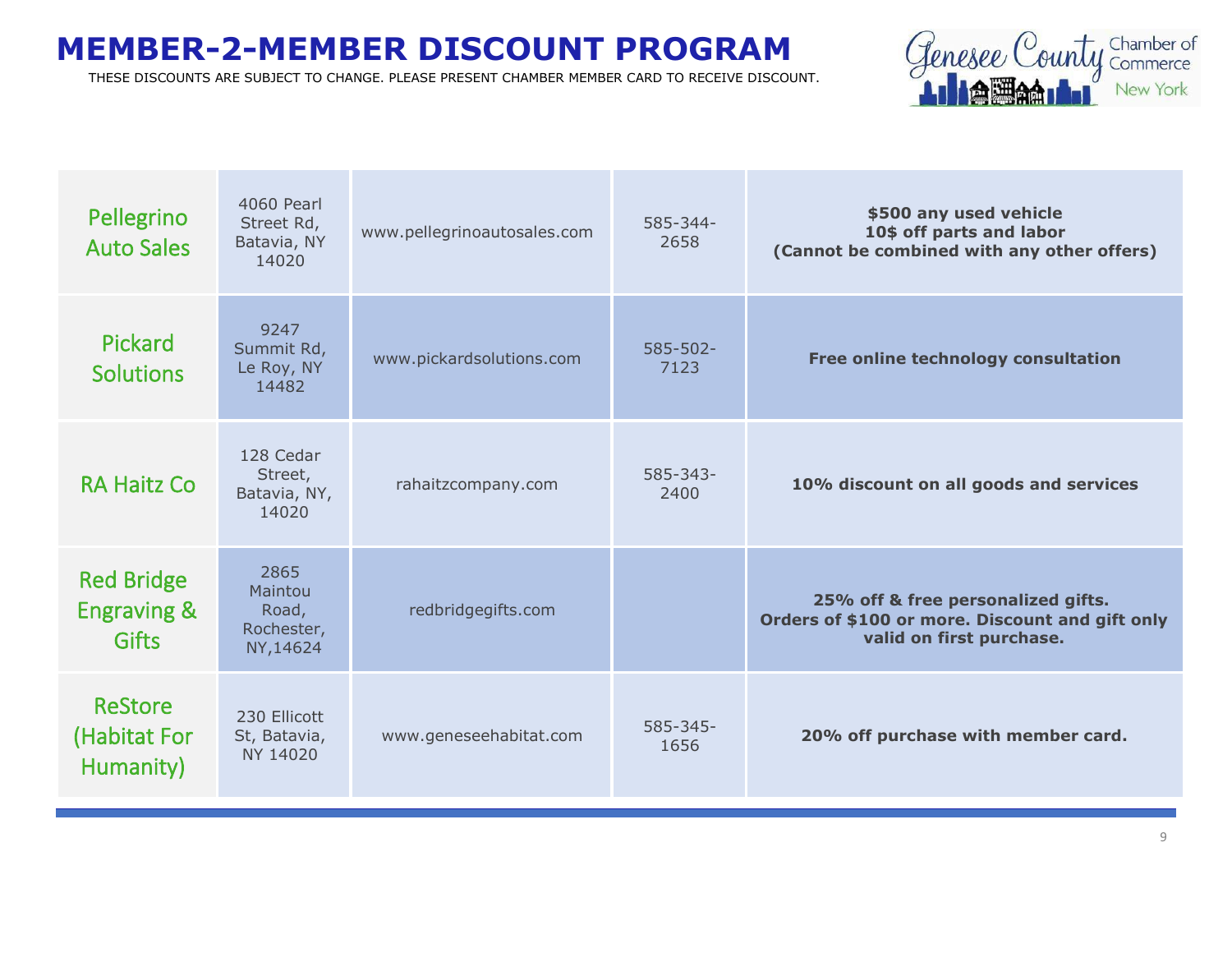

| Pellegrino<br><b>Auto Sales</b>                             | 4060 Pearl<br>Street Rd,<br>Batavia, NY<br>14020   | www.pellegrinoautosales.com | 585-344-<br>2658      | \$500 any used vehicle<br>10\$ off parts and labor<br>(Cannot be combined with any other offers)                  |
|-------------------------------------------------------------|----------------------------------------------------|-----------------------------|-----------------------|-------------------------------------------------------------------------------------------------------------------|
| Pickard<br><b>Solutions</b>                                 | 9247<br>Summit Rd,<br>Le Roy, NY<br>14482          | www.pickardsolutions.com    | $585 - 502 -$<br>7123 | Free online technology consultation                                                                               |
| <b>RA Haitz Co</b>                                          | 128 Cedar<br>Street,<br>Batavia, NY,<br>14020      | rahaitzcompany.com          | $585 - 343 -$<br>2400 | 10% discount on all goods and services                                                                            |
| <b>Red Bridge</b><br><b>Engraving &amp;</b><br><b>Gifts</b> | 2865<br>Maintou<br>Road,<br>Rochester,<br>NY,14624 | redbridgegifts.com          |                       | 25% off & free personalized gifts.<br>Orders of \$100 or more. Discount and gift only<br>valid on first purchase. |
| <b>ReStore</b><br>(Habitat For<br>Humanity)                 | 230 Ellicott<br>St, Batavia,<br>NY 14020           | www.geneseehabitat.com      | $585 - 345 -$<br>1656 | 20% off purchase with member card.                                                                                |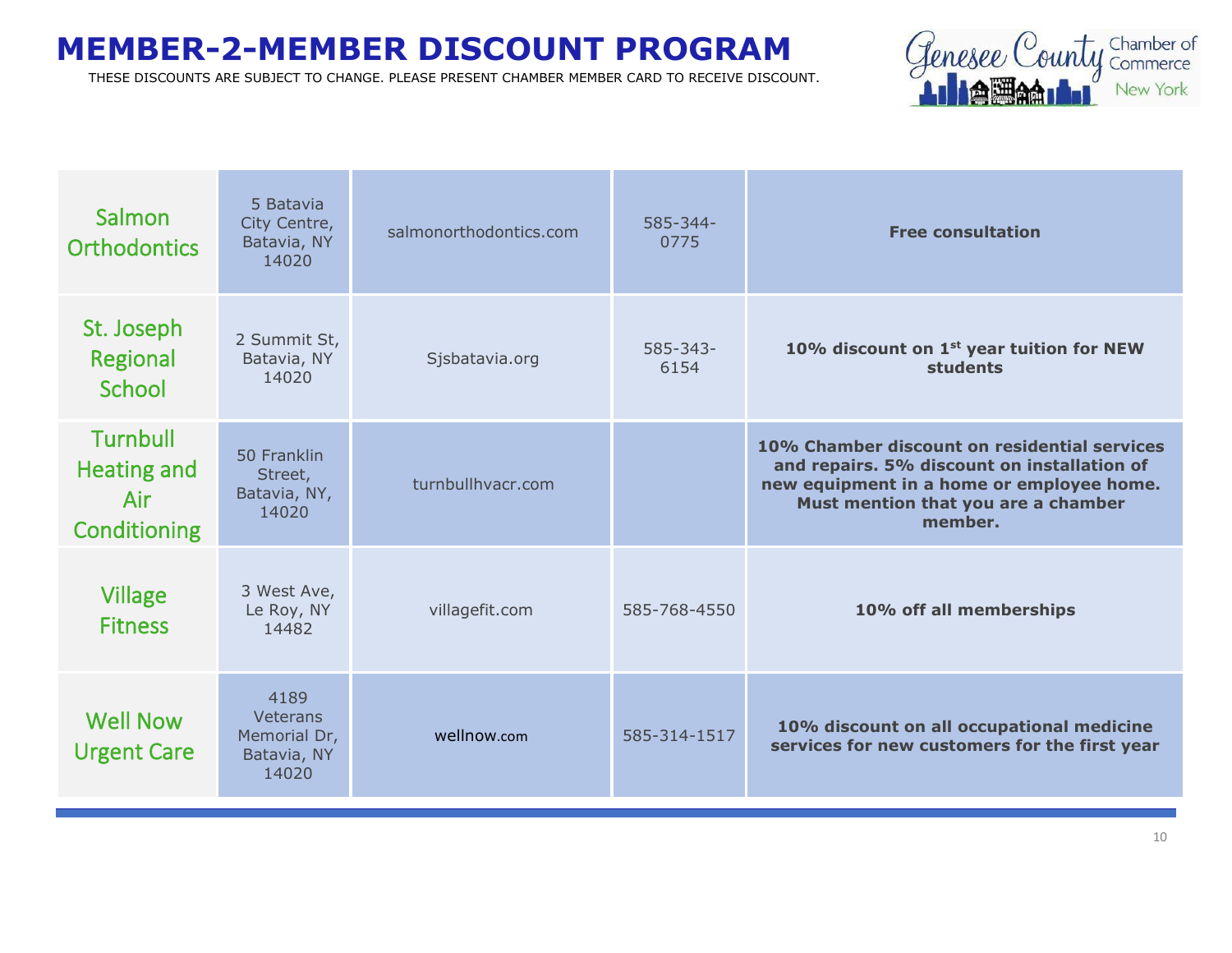

| Salmon<br><b>Orthodontics</b>                                | 5 Batavia<br>City Centre,<br>Batavia, NY<br>14020               | salmonorthodontics.com | 585-344-<br>0775      | <b>Free consultation</b>                                                                                                                                                                   |
|--------------------------------------------------------------|-----------------------------------------------------------------|------------------------|-----------------------|--------------------------------------------------------------------------------------------------------------------------------------------------------------------------------------------|
| St. Joseph<br>Regional<br>School                             | 2 Summit St,<br>Batavia, NY<br>14020                            | Sjsbatavia.org         | $585 - 343 -$<br>6154 | 10% discount on 1 <sup>st</sup> year tuition for NEW<br>students                                                                                                                           |
| <b>Turnbull</b><br><b>Heating and</b><br>Air<br>Conditioning | 50 Franklin<br>Street,<br>Batavia, NY,<br>14020                 | turnbullhyacr.com      |                       | 10% Chamber discount on residential services<br>and repairs. 5% discount on installation of<br>new equipment in a home or employee home.<br>Must mention that you are a chamber<br>member. |
| <b>Village</b><br><b>Fitness</b>                             | 3 West Ave,<br>Le Roy, NY<br>14482                              | villagefit.com         | 585-768-4550          | 10% off all memberships                                                                                                                                                                    |
| <b>Well Now</b><br><b>Urgent Care</b>                        | 4189<br><b>Veterans</b><br>Memorial Dr,<br>Batavia, NY<br>14020 | wellnow.com            | 585-314-1517          | 10% discount on all occupational medicine<br>services for new customers for the first year                                                                                                 |